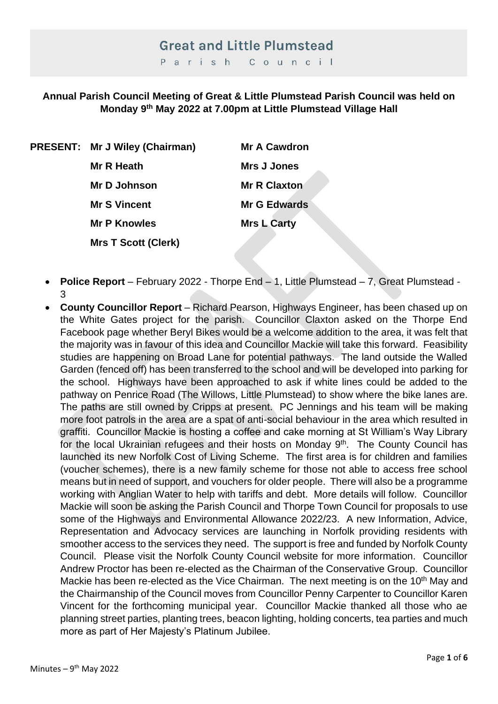# **Great and Little Plumstead**

Parish Council

#### **Annual Parish Council Meeting of Great & Little Plumstead Parish Council was held on Monday 9 th May 2022 at 7.00pm at Little Plumstead Village Hall**

**PRESENT: Mr J Wiley (Chairman) Mr A Cawdron Mr R Heath Mrs J Jones Mr D Johnson Mr R Claxton Mr S Vincent Mr G Edwards Mr P Knowles Mrs L Carty Mrs T Scott (Clerk)**

- **Police Report**  February 2022 Thorpe End 1, Little Plumstead 7, Great Plumstead 3
- **County Councillor Report** Richard Pearson, Highways Engineer, has been chased up on the White Gates project for the parish. Councillor Claxton asked on the Thorpe End Facebook page whether Beryl Bikes would be a welcome addition to the area, it was felt that the majority was in favour of this idea and Councillor Mackie will take this forward. Feasibility studies are happening on Broad Lane for potential pathways. The land outside the Walled Garden (fenced off) has been transferred to the school and will be developed into parking for the school. Highways have been approached to ask if white lines could be added to the pathway on Penrice Road (The Willows, Little Plumstead) to show where the bike lanes are. The paths are still owned by Cripps at present. PC Jennings and his team will be making more foot patrols in the area are a spat of anti-social behaviour in the area which resulted in graffiti. Councillor Mackie is hosting a coffee and cake morning at St William's Way Library for the local Ukrainian refugees and their hosts on Monday 9<sup>th</sup>. The County Council has launched its new Norfolk Cost of Living Scheme. The first area is for children and families (voucher schemes), there is a new family scheme for those not able to access free school means but in need of support, and vouchers for older people. There will also be a programme working with Anglian Water to help with tariffs and debt. More details will follow. Councillor Mackie will soon be asking the Parish Council and Thorpe Town Council for proposals to use some of the Highways and Environmental Allowance 2022/23. A new Information, Advice, Representation and Advocacy services are launching in Norfolk providing residents with smoother access to the services they need. The support is free and funded by Norfolk County Council. Please visit the Norfolk County Council website for more information. Councillor Andrew Proctor has been re-elected as the Chairman of the Conservative Group. Councillor Mackie has been re-elected as the Vice Chairman. The next meeting is on the 10<sup>th</sup> May and the Chairmanship of the Council moves from Councillor Penny Carpenter to Councillor Karen Vincent for the forthcoming municipal year. Councillor Mackie thanked all those who ae planning street parties, planting trees, beacon lighting, holding concerts, tea parties and much more as part of Her Majesty's Platinum Jubilee.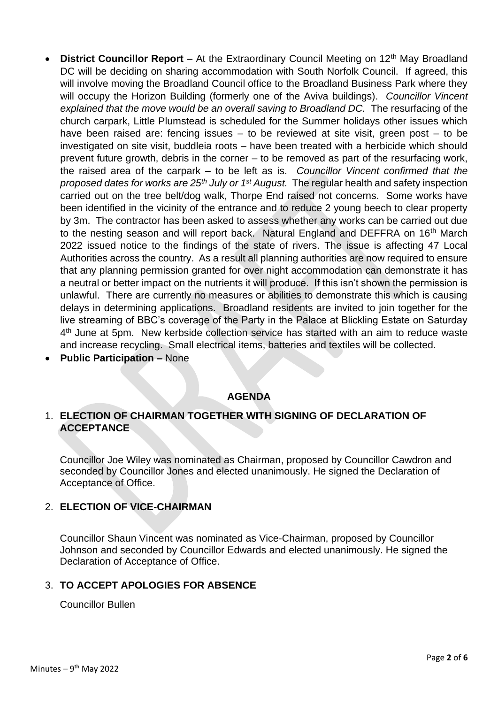- **District Councillor Report** At the Extraordinary Council Meeting on 12<sup>th</sup> May Broadland DC will be deciding on sharing accommodation with South Norfolk Council. If agreed, this will involve moving the Broadland Council office to the Broadland Business Park where they will occupy the Horizon Building (formerly one of the Aviva buildings). *Councillor Vincent*  explained that the move would be an overall saving to Broadland DC. The resurfacing of the church carpark, Little Plumstead is scheduled for the Summer holidays other issues which have been raised are: fencing issues  $-$  to be reviewed at site visit, green post  $-$  to be investigated on site visit, buddleia roots – have been treated with a herbicide which should prevent future growth, debris in the corner – to be removed as part of the resurfacing work, the raised area of the carpark – to be left as is. *Councillor Vincent confirmed that the proposed dates for works are 25th July or 1st August.* The regular health and safety inspection carried out on the tree belt/dog walk, Thorpe End raised not concerns. Some works have been identified in the vicinity of the entrance and to reduce 2 young beech to clear property by 3m. The contractor has been asked to assess whether any works can be carried out due to the nesting season and will report back. Natural England and DEFFRA on 16<sup>th</sup> March 2022 issued notice to the findings of the state of rivers. The issue is affecting 47 Local Authorities across the country. As a result all planning authorities are now required to ensure that any planning permission granted for over night accommodation can demonstrate it has a neutral or better impact on the nutrients it will produce. If this isn't shown the permission is unlawful. There are currently no measures or abilities to demonstrate this which is causing delays in determining applications. Broadland residents are invited to join together for the live streaming of BBC's coverage of the Party in the Palace at Blickling Estate on Saturday 4<sup>th</sup> June at 5pm. New kerbside collection service has started with an aim to reduce waste and increase recycling. Small electrical items, batteries and textiles will be collected.
- **Public Participation –** None

### **AGENDA**

#### 1. **ELECTION OF CHAIRMAN TOGETHER WITH SIGNING OF DECLARATION OF ACCEPTANCE**

Councillor Joe Wiley was nominated as Chairman, proposed by Councillor Cawdron and seconded by Councillor Jones and elected unanimously. He signed the Declaration of Acceptance of Office.

#### 2. **ELECTION OF VICE-CHAIRMAN**

Councillor Shaun Vincent was nominated as Vice-Chairman, proposed by Councillor Johnson and seconded by Councillor Edwards and elected unanimously. He signed the Declaration of Acceptance of Office.

#### 3. **TO ACCEPT APOLOGIES FOR ABSENCE**

Councillor Bullen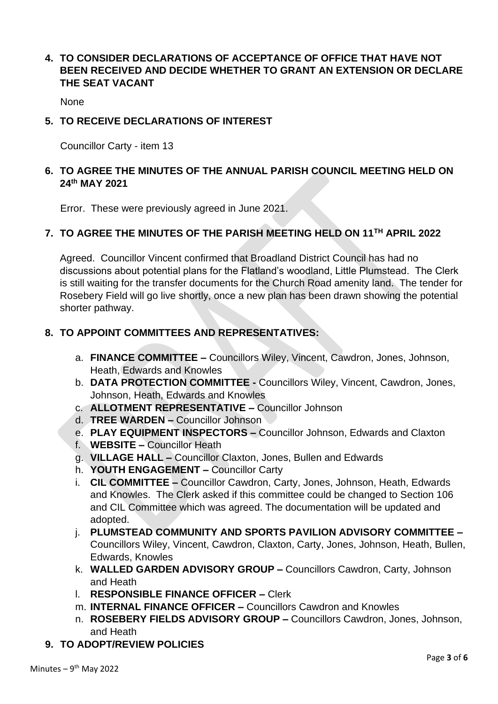### **4. TO CONSIDER DECLARATIONS OF ACCEPTANCE OF OFFICE THAT HAVE NOT BEEN RECEIVED AND DECIDE WHETHER TO GRANT AN EXTENSION OR DECLARE THE SEAT VACANT**

**None** 

#### **5. TO RECEIVE DECLARATIONS OF INTEREST**

Councillor Carty - item 13

### **6. TO AGREE THE MINUTES OF THE ANNUAL PARISH COUNCIL MEETING HELD ON 24th MAY 2021**

Error. These were previously agreed in June 2021.

## **7. TO AGREE THE MINUTES OF THE PARISH MEETING HELD ON 11TH APRIL 2022**

Agreed. Councillor Vincent confirmed that Broadland District Council has had no discussions about potential plans for the Flatland's woodland, Little Plumstead. The Clerk is still waiting for the transfer documents for the Church Road amenity land. The tender for Rosebery Field will go live shortly, once a new plan has been drawn showing the potential shorter pathway.

#### **8. TO APPOINT COMMITTEES AND REPRESENTATIVES:**

- a. **FINANCE COMMITTEE –** Councillors Wiley, Vincent, Cawdron, Jones, Johnson, Heath, Edwards and Knowles
- b. **DATA PROTECTION COMMITTEE -** Councillors Wiley, Vincent, Cawdron, Jones, Johnson, Heath, Edwards and Knowles
- c. **ALLOTMENT REPRESENTATIVE –** Councillor Johnson
- d. **TREE WARDEN –** Councillor Johnson
- e. **PLAY EQUIPMENT INSPECTORS –** Councillor Johnson, Edwards and Claxton
- f. **WEBSITE –** Councillor Heath
- g. **VILLAGE HALL –** Councillor Claxton, Jones, Bullen and Edwards
- h. **YOUTH ENGAGEMENT –** Councillor Carty
- i. **CIL COMMITTEE –** Councillor Cawdron, Carty, Jones, Johnson, Heath, Edwards and Knowles. The Clerk asked if this committee could be changed to Section 106 and CIL Committee which was agreed. The documentation will be updated and adopted.
- j. **PLUMSTEAD COMMUNITY AND SPORTS PAVILION ADVISORY COMMITTEE –** Councillors Wiley, Vincent, Cawdron, Claxton, Carty, Jones, Johnson, Heath, Bullen, Edwards, Knowles
- k. **WALLED GARDEN ADVISORY GROUP –** Councillors Cawdron, Carty, Johnson and Heath
- l. **RESPONSIBLE FINANCE OFFICER –** Clerk
- m. **INTERNAL FINANCE OFFICER –** Councillors Cawdron and Knowles
- n. **ROSEBERY FIELDS ADVISORY GROUP –** Councillors Cawdron, Jones, Johnson, and Heath
- **9. TO ADOPT/REVIEW POLICIES**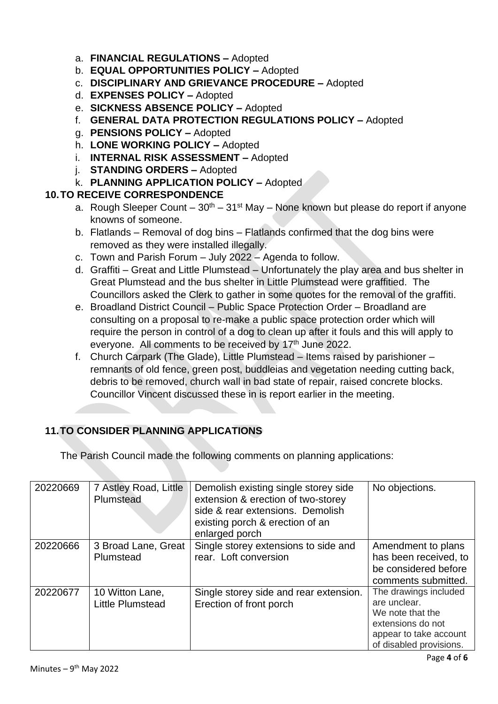- a. **FINANCIAL REGULATIONS –** Adopted
- b. **EQUAL OPPORTUNITIES POLICY –** Adopted
- c. **DISCIPLINARY AND GRIEVANCE PROCEDURE –** Adopted
- d. **EXPENSES POLICY –** Adopted
- e. **SICKNESS ABSENCE POLICY –** Adopted
- f. **GENERAL DATA PROTECTION REGULATIONS POLICY –** Adopted
- g. **PENSIONS POLICY –** Adopted
- h. **LONE WORKING POLICY –** Adopted
- i. **INTERNAL RISK ASSESSMENT –** Adopted
- j. **STANDING ORDERS –** Adopted
- k. **PLANNING APPLICATION POLICY –** Adopted

## **10.TO RECEIVE CORRESPONDENCE**

- a. Rough Sleeper Count  $30<sup>th</sup>$   $31<sup>st</sup>$  May None known but please do report if anyone knowns of someone.
- b. Flatlands Removal of dog bins Flatlands confirmed that the dog bins were removed as they were installed illegally.
- c. Town and Parish Forum July 2022 Agenda to follow.
- d. Graffiti Great and Little Plumstead Unfortunately the play area and bus shelter in Great Plumstead and the bus shelter in Little Plumstead were graffitied. The Councillors asked the Clerk to gather in some quotes for the removal of the graffiti.
- e. Broadland District Council Public Space Protection Order Broadland are consulting on a proposal to re-make a public space protection order which will require the person in control of a dog to clean up after it fouls and this will apply to everyone. All comments to be received by 17<sup>th</sup> June 2022.
- f. Church Carpark (The Glade), Little Plumstead Items raised by parishioner remnants of old fence, green post, buddleias and vegetation needing cutting back, debris to be removed, church wall in bad state of repair, raised concrete blocks. Councillor Vincent discussed these in is report earlier in the meeting.

# **11.TO CONSIDER PLANNING APPLICATIONS**

The Parish Council made the following comments on planning applications:

| 20220669 | 7 Astley Road, Little<br>Plumstead         | Demolish existing single storey side<br>extension & erection of two-storey<br>side & rear extensions. Demolish<br>existing porch & erection of an<br>enlarged porch | No objections.                                                                                                                      |
|----------|--------------------------------------------|---------------------------------------------------------------------------------------------------------------------------------------------------------------------|-------------------------------------------------------------------------------------------------------------------------------------|
| 20220666 | 3 Broad Lane, Great<br>Plumstead           | Single storey extensions to side and<br>rear. Loft conversion                                                                                                       | Amendment to plans<br>has been received, to<br>be considered before<br>comments submitted.                                          |
| 20220677 | 10 Witton Lane,<br><b>Little Plumstead</b> | Single storey side and rear extension.<br>Erection of front porch                                                                                                   | The drawings included<br>are unclear.<br>We note that the<br>extensions do not<br>appear to take account<br>of disabled provisions. |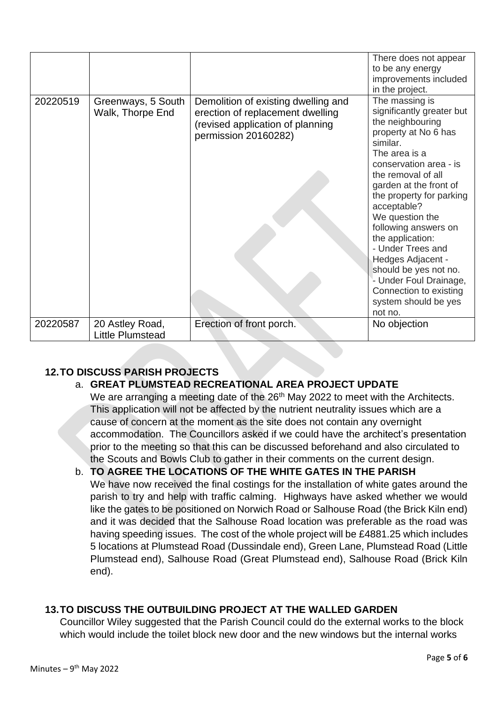|          |                                            |                                                                                                                                     | There does not appear<br>to be any energy<br>improvements included<br>in the project.                                                                                                                                                                                                                                                                                                                                                                              |
|----------|--------------------------------------------|-------------------------------------------------------------------------------------------------------------------------------------|--------------------------------------------------------------------------------------------------------------------------------------------------------------------------------------------------------------------------------------------------------------------------------------------------------------------------------------------------------------------------------------------------------------------------------------------------------------------|
| 20220519 | Greenways, 5 South<br>Walk, Thorpe End     | Demolition of existing dwelling and<br>erection of replacement dwelling<br>(revised application of planning<br>permission 20160282) | The massing is<br>significantly greater but<br>the neighbouring<br>property at No 6 has<br>similar.<br>The area is a<br>conservation area - is<br>the removal of all<br>garden at the front of<br>the property for parking<br>acceptable?<br>We question the<br>following answers on<br>the application:<br>- Under Trees and<br>Hedges Adjacent -<br>should be yes not no.<br>- Under Foul Drainage,<br>Connection to existing<br>system should be yes<br>not no. |
| 20220587 | 20 Astley Road,<br><b>Little Plumstead</b> | Erection of front porch.                                                                                                            | No objection                                                                                                                                                                                                                                                                                                                                                                                                                                                       |

# **12.TO DISCUSS PARISH PROJECTS**

# a. **GREAT PLUMSTEAD RECREATIONAL AREA PROJECT UPDATE**

We are arranging a meeting date of the 26<sup>th</sup> May 2022 to meet with the Architects. This application will not be affected by the nutrient neutrality issues which are a cause of concern at the moment as the site does not contain any overnight accommodation. The Councillors asked if we could have the architect's presentation prior to the meeting so that this can be discussed beforehand and also circulated to the Scouts and Bowls Club to gather in their comments on the current design.

b. **TO AGREE THE LOCATIONS OF THE WHITE GATES IN THE PARISH**  We have now received the final costings for the installation of white gates around the parish to try and help with traffic calming. Highways have asked whether we would like the gates to be positioned on Norwich Road or Salhouse Road (the Brick Kiln end) and it was decided that the Salhouse Road location was preferable as the road was having speeding issues. The cost of the whole project will be £4881.25 which includes 5 locations at Plumstead Road (Dussindale end), Green Lane, Plumstead Road (Little Plumstead end), Salhouse Road (Great Plumstead end), Salhouse Road (Brick Kiln end).

### **13.TO DISCUSS THE OUTBUILDING PROJECT AT THE WALLED GARDEN**

Councillor Wiley suggested that the Parish Council could do the external works to the block which would include the toilet block new door and the new windows but the internal works